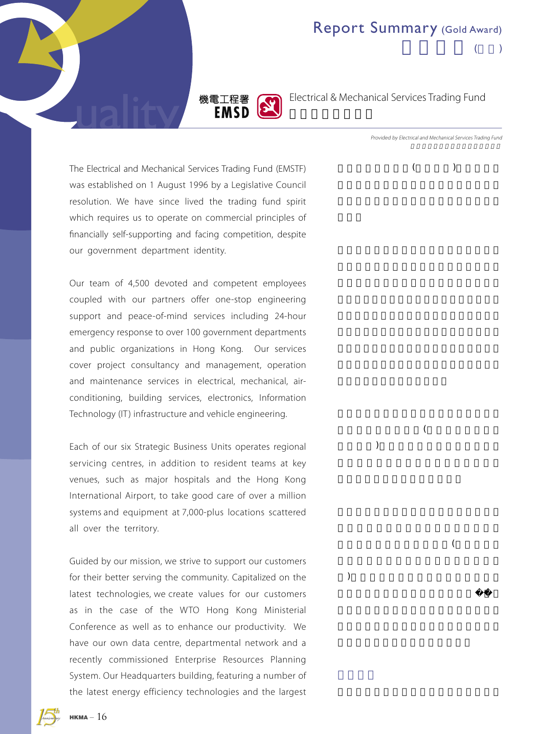



Electrical & Mechanical Services Trading Fund

The Electrical and Mechanical Services Trading Fund (EMSTF) was established on 1 August 1996 by a Legislative Council resolution. We have since lived the trading fund spirit which requires us to operate on commercial principles of financially self-supporting and facing competition, despite our government department identity.

Our team of 4,500 devoted and competent employees coupled with our partners offer one-stop engineering support and peace-of-mind services including 24-hour emergency response to over 100 government departments and public organizations in Hong Kong. Our services cover project consultancy and management, operation and maintenance services in electrical, mechanical, airconditioning, building services, electronics, Information Technology (IT) infrastructure and vehicle engineering.

Each of our six Strategic Business Units operates regional servicing centres, in addition to resident teams at key venues, such as major hospitals and the Hong Kong International Airport, to take good care of over a million systems and equipment at 7,000-plus locations scattered all over the territory.

Guided by our mission, we strive to support our customers for their better serving the community. Capitalized on the latest technologies, we create values for our customers as in the case of the WTO Hong Kong Ministerial Conference as well as to enhance our productivity. We have our own data centre, departmental network and a recently commissioned Enterprise Resources Planning System. Our Headquarters building, featuring a number of the latest energy efficiency technologies and the largest

 $HKMA - 16$ 

Provided by Electrical and Mechanical Services Trading Fund

 $($ 

 $($  $)$ 

 $\mathcal{A}$ 

) and  $\tilde{z}$ 

 $($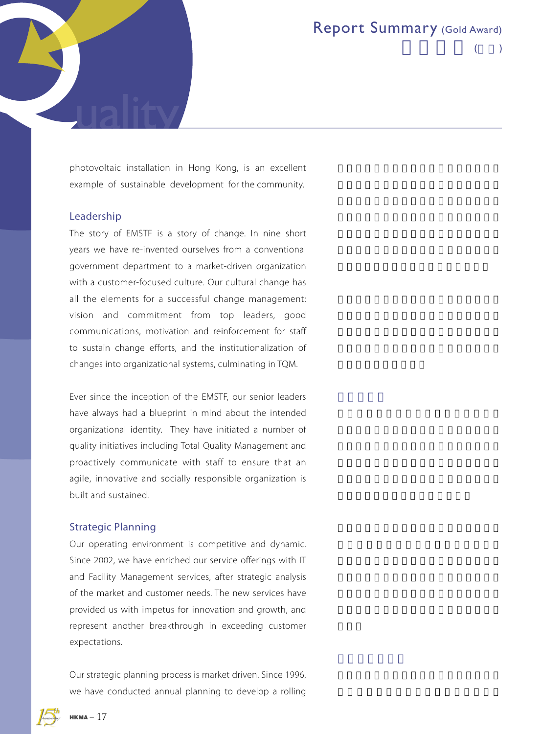$($ 

photovoltaic installation in Hong Kong, is an excellent example of sustainable development for the community.

#### Leadership

The story of EMSTF is a story of change. In nine short years we have re-invented ourselves from a conventional government department to a market-driven organization with a customer-focused culture. Our cultural change has all the elements for a successful change management: vision and commitment from top leaders, good communications, motivation and reinforcement for staff to sustain change efforts, and the institutionalization of changes into organizational systems, culminating in TQM.

Ever since the inception of the EMSTF, our senior leaders have always had a blueprint in mind about the intended organizational identity. They have initiated a number of quality initiatives including Total Quality Management and proactively communicate with staff to ensure that an agile, innovative and socially responsible organization is built and sustained.

#### Strategic Planning

Our operating environment is competitive and dynamic. Since 2002, we have enriched our service offerings with IT and Facility Management services, after strategic analysis of the market and customer needs. The new services have provided us with impetus for innovation and growth, and represent another breakthrough in exceeding customer expectations.

Our strategic planning process is market driven. Since 1996, we have conducted annual planning to develop a rolling

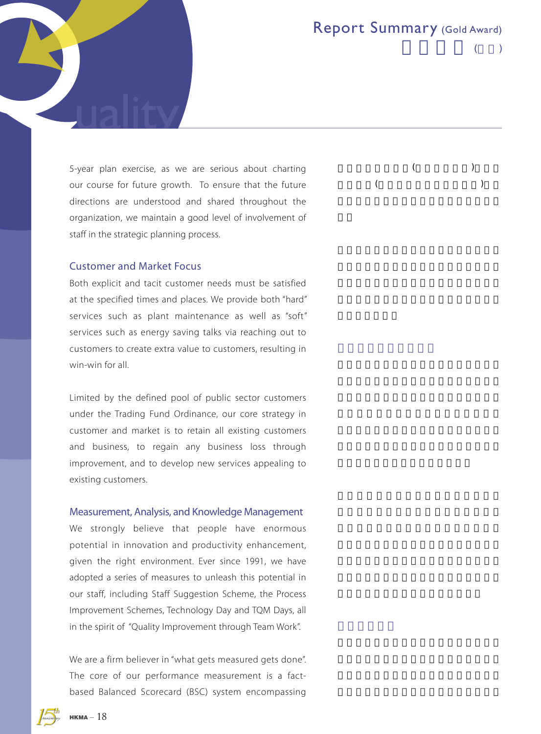$($ 

5-year plan exercise, as we are serious about charting our course for future growth. To ensure that the future directions are understood and shared throughout the organization, we maintain a good level of involvement of staff in the strategic planning process.

#### Customer and Market Focus

Both explicit and tacit customer needs must be satisfied at the specified times and places. We provide both "hard" services such as plant maintenance as well as "soft" services such as energy saving talks via reaching out to customers to create extra value to customers, resulting in win-win for all.

Limited by the defined pool of public sector customers under the Trading Fund Ordinance, our core strategy in customer and market is to retain all existing customers and business, to regain any business loss through improvement, and to develop new services appealing to existing customers.

#### Measurement, Analysis, and Knowledge Management

We strongly believe that people have enormous potential in innovation and productivity enhancement, given the right environment. Ever since 1991, we have adopted a series of measures to unleash this potential in our staff, including Staff Suggestion Scheme, the Process Improvement Schemes, Technology Day and TQM Days, all in the spirit of "Quality Improvement through Team Work".

We are a firm believer in "what gets measured gets done". The core of our performance measurement is a factbased Balanced Scorecard (BSC) system encompassing



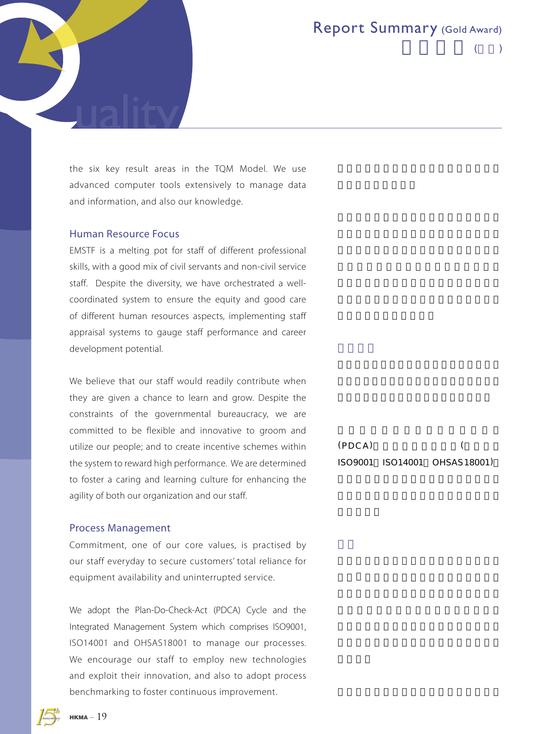$($ 

the six key result areas in the TQM Model. We use advanced computer tools extensively to manage data and information, and also our knowledge.

#### Human Resource Focus

EMSTF is a melting pot for staff of different professional skills, with a good mix of civil servants and non-civil service staff. Despite the diversity, we have orchestrated a wellcoordinated system to ensure the equity and good care of different human resources aspects, implementing staff appraisal systems to gauge staff performance and career development potential.

We believe that our staff would readily contribute when they are given a chance to learn and grow. Despite the constraints of the governmental bureaucracy, we are committed to be flexible and innovative to groom and utilize our people; and to create incentive schemes within the system to reward high performance. We are determined to foster a caring and learning culture for enhancing the agility of both our organization and our staff.

 $(PDCA)$ ISO 9001 ISO 14001 OHSAS 18001)

#### Process Management

Commitment, one of our core values, is practised by our staff everyday to secure customers' total reliance for equipment availability and uninterrupted service.

We adopt the Plan-Do-Check-Act (PDCA) Cycle and the Integrated Management System which comprises ISO9001, ISO14001 and OHSAS18001 to manage our processes. We encourage our staff to employ new technologies and exploit their innovation, and also to adopt process benchmarking to foster continuous improvement.